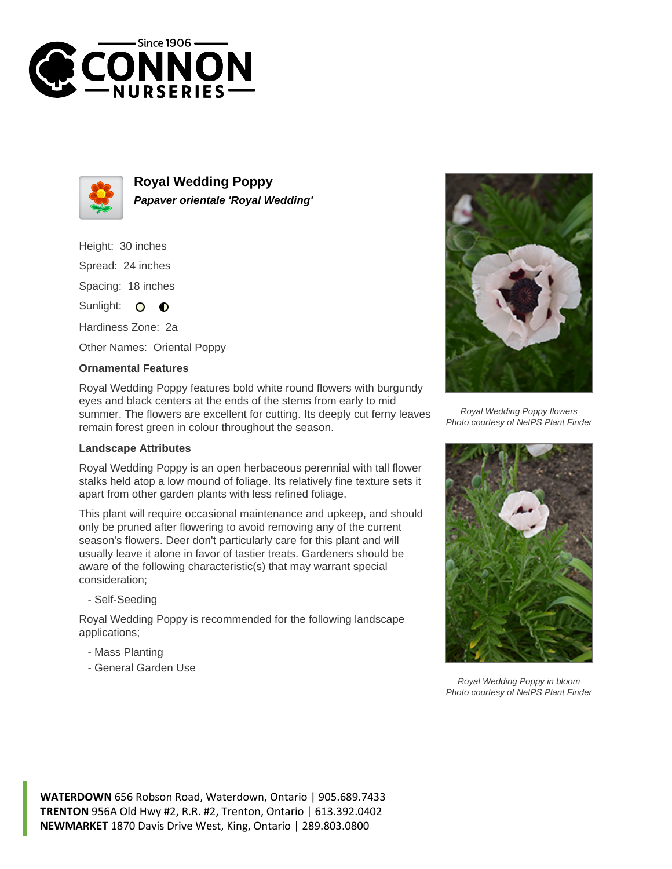



**Royal Wedding Poppy Papaver orientale 'Royal Wedding'**

Height: 30 inches Spread: 24 inches Spacing: 18 inches Sunlight: O **O** 

Hardiness Zone: 2a

Other Names: Oriental Poppy

## **Ornamental Features**

Royal Wedding Poppy features bold white round flowers with burgundy eyes and black centers at the ends of the stems from early to mid summer. The flowers are excellent for cutting. Its deeply cut ferny leaves remain forest green in colour throughout the season.

## **Landscape Attributes**

Royal Wedding Poppy is an open herbaceous perennial with tall flower stalks held atop a low mound of foliage. Its relatively fine texture sets it apart from other garden plants with less refined foliage.

This plant will require occasional maintenance and upkeep, and should only be pruned after flowering to avoid removing any of the current season's flowers. Deer don't particularly care for this plant and will usually leave it alone in favor of tastier treats. Gardeners should be aware of the following characteristic(s) that may warrant special consideration;

- Self-Seeding

Royal Wedding Poppy is recommended for the following landscape applications;

- Mass Planting
- General Garden Use



Royal Wedding Poppy flowers Photo courtesy of NetPS Plant Finder



Royal Wedding Poppy in bloom Photo courtesy of NetPS Plant Finder

**WATERDOWN** 656 Robson Road, Waterdown, Ontario | 905.689.7433 **TRENTON** 956A Old Hwy #2, R.R. #2, Trenton, Ontario | 613.392.0402 **NEWMARKET** 1870 Davis Drive West, King, Ontario | 289.803.0800